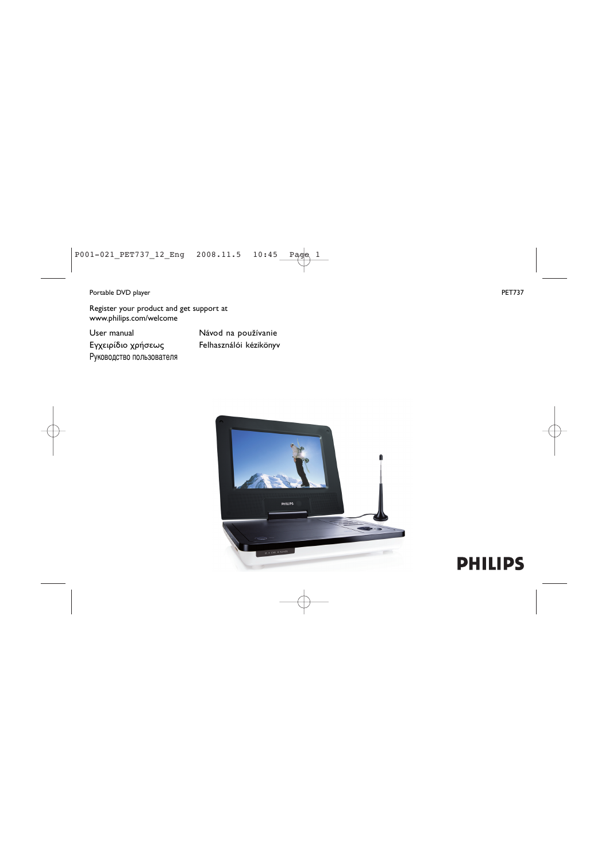#### Portable DVD player PET737

Register your product and get support at www.philips.com/welcome

User manual Eγχειρίδιο χρήσεως Руководство пользователя Návod na používanie Felhasználói kézikönyv



# **PHILIPS**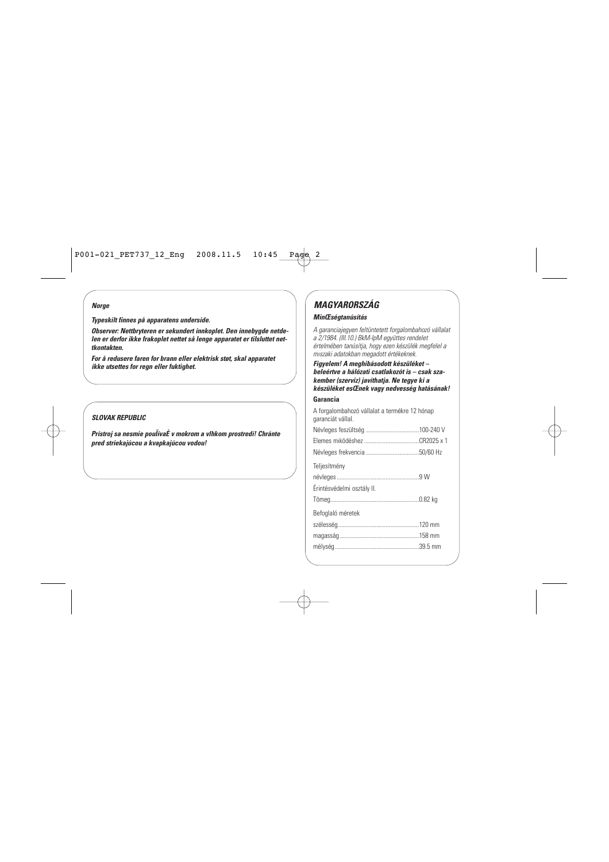#### *Norge*

*Typeskilt finnes på apparatens underside.*

*Observer: Nettbryteren er sekundert innkoplet. Den innebygde netdelen er derfor ikke frakoplet nettet så lenge apparatet er tilsluttet nettkontakten.*

*For å redusere faren for brann eller elektrisk støt, skal apparatet ikke utsettes for regn eller fuktighet.*

#### *SLOVAK REPUBLIC*

*Prístroj sa nesmie pouÏívaÈ v mokrom a vlhkom prostredí! Chránte pred striekajúcou a kvapkajúcou vodou!*

### *MAGYARORSZÁG MinŒségtanúsítás*

*A garanciajegyen feltüntetett forgalombahozó vállalat a 2/1984. (III.10.) BkM-IpM együttes rendelet értelmében tanúsítja, hogy ezen készülék megfelel a mıszaki adatokban megadott értékeknek.*

*Figyelem! A meghibásodott készüléket – beleértve a hálózati csatlakozót is – csak szakember (szerviz) javíthatja. Ne tegye ki a készüléket esŒnek vagy nedvesség hatásának!*

#### **Garancia**

| A forgalombahozó vállalat a termékre 12 hónap<br>garanciát vállal. |  |
|--------------------------------------------------------------------|--|
|                                                                    |  |
|                                                                    |  |
|                                                                    |  |
| Teljesítmény                                                       |  |
|                                                                    |  |
| Érintésvédelmi osztály II.                                         |  |
|                                                                    |  |
| Befoglaló méretek                                                  |  |
|                                                                    |  |
|                                                                    |  |
|                                                                    |  |
|                                                                    |  |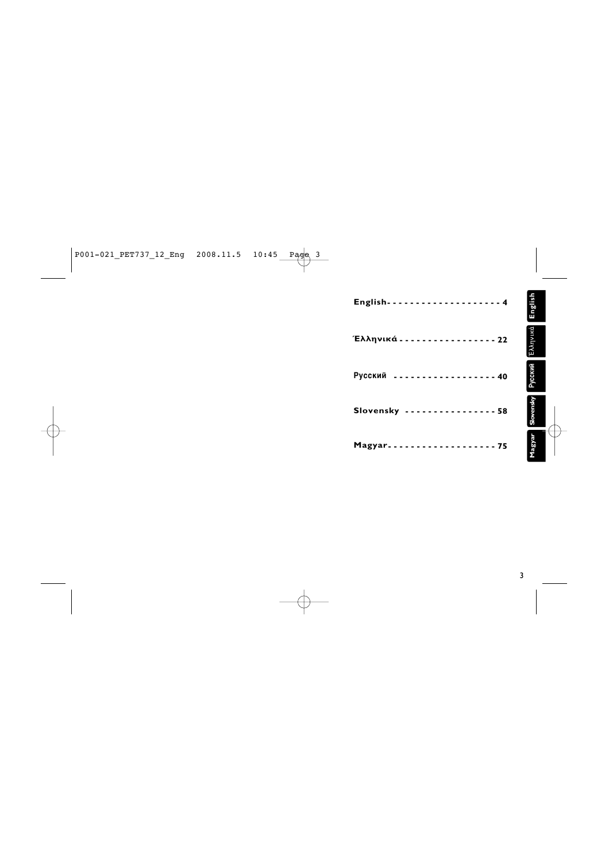|                                               | ${\sf English}$ |
|-----------------------------------------------|-----------------|
| Έλληνικά - - - - - - - - - - - - - - - - 22   | Έλληνικά        |
| ------------------- 40<br>Русский             | Русский         |
| Slovensky 58                                  | Slovensky       |
| Magyar - - - - - - - - - - - - - - - - - - 75 | Magyar          |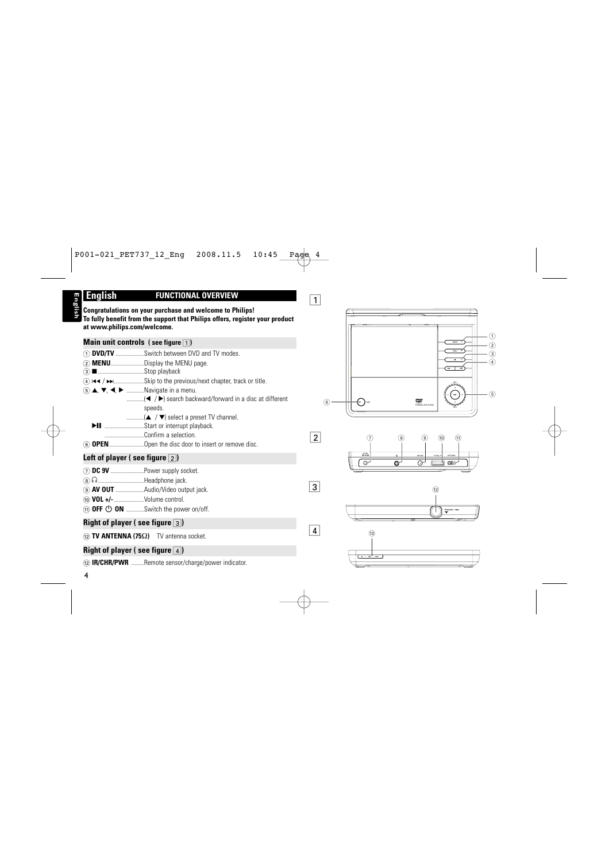# **English**

#### **English FUNCTIONAL OVERVIEW**

**Congratulations on your purchase and welcome to Philips! To fully benefit from the support that Philips offers, register your product at www.philips.com/welcome.**

#### **Main unit controls (see figure 1)**

- 1 **DVD/TV** ..................Switch between DVD and TV modes.
- 2 **MENU**.....................Display the MENU page.
- 3 9.............................Stop playback
- 4 J( / §...................Skip to the previous/next chapter, track or title.
- $(5)$   $\blacktriangle$ ,  $\nabla$ ,  $\blacktriangleleft$ ,  $\blacktriangleright$  ............Navigate in a menu.
	- ................(< /> /> search backward/forward in a disc at different speeds.
	- $\ldots$ ........... $(A \mid \nabla)$  select a preset TV channel.
	- $\blacktriangleright$ II .............................Start or interrupt playback.
		- .........................Confirm a selection.
- 6 **OPEN**......................Open the disc door to insert or remove disc.

#### Left of player (see figure  $\boxed{2}$ )

- 7 **DC 9V** .....................Power supply socket.
- **8** n..........................Headphone jack.
- 9 **AV OUT** ..................Audio/Video output jack.
- 0 **VOL +/-**...................Volume control.
- **(1) OFF <sup>(1</sup>) ON** ..........Switch the power on/off.

#### **Right of player ( see figure** 3**)**

#### @ **TV ANTENNA (75**Ω**)** TV antenna socket.

### **Right of player ( see figure**  $\boxed{4}$ **)**

@ **IR/CHR/PWR** ........Remote sensor/charge/power indicator.

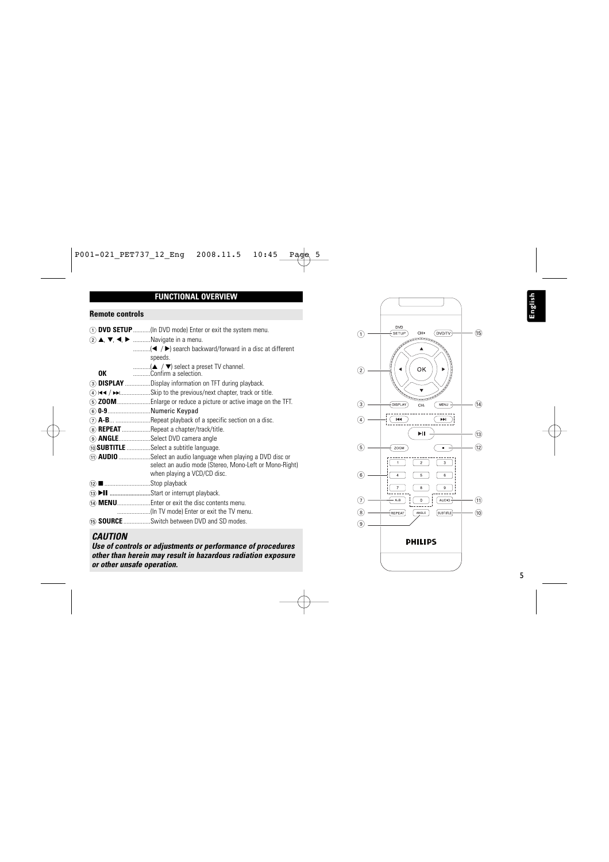#### **FUNCTIONAL OVERVIEW**

#### **Remote controls**

- 1 **DVD SETUP**...........(In DVD mode) Enter or exit the system menu.
- 2 3, 4, 1, 2 ...........Navigate in a menu.
	- ...........(1 / 2) search backward/forward in a disc at different speeds.
	- ...........(3 / 4) select a preset TV channel.
	- **OK** ...........Confirm a selection.
- 3 **DISPLAY** ................Display information on TFT during playback.
- 4 J( / §...................Skip to the previous/next chapter, track or title.
- 5 **ZOOM**.....................Enlarge or reduce a picture or active image on the TFT.
- 6 **0-9**...........................Numeric Keypad
- 7 **A-B**... ......................Repeat playback of a specific section on a disc.
- 8 **REPEAT** ..................Repeat a chapter/track/title.
- 9 **ANGLE**....................Select DVD camera angle
- 0**SUBTITLE** ...............Select a subtitle language.
- ! **AUDIO**....................Select an audio language when playing a DVD disc or select an audio mode (Stereo, Mono-Left or Mono-Right) when playing a VCD/CD disc.
- @ 9.............................Stop playback
- (i3) II ..........................Start or interrupt playback.
- (14) **MENU**..............................Enter or exit the disc contents menu.
	- .....................(In TV mode) Enter or exit the TV menu.
- % **SOURCE** .................Switch between DVD and SD modes.

#### *CAUTION*

*Use of controls or adjustments or performance of procedures other than herein may result in hazardous radiation exposure or other unsafe operation.*

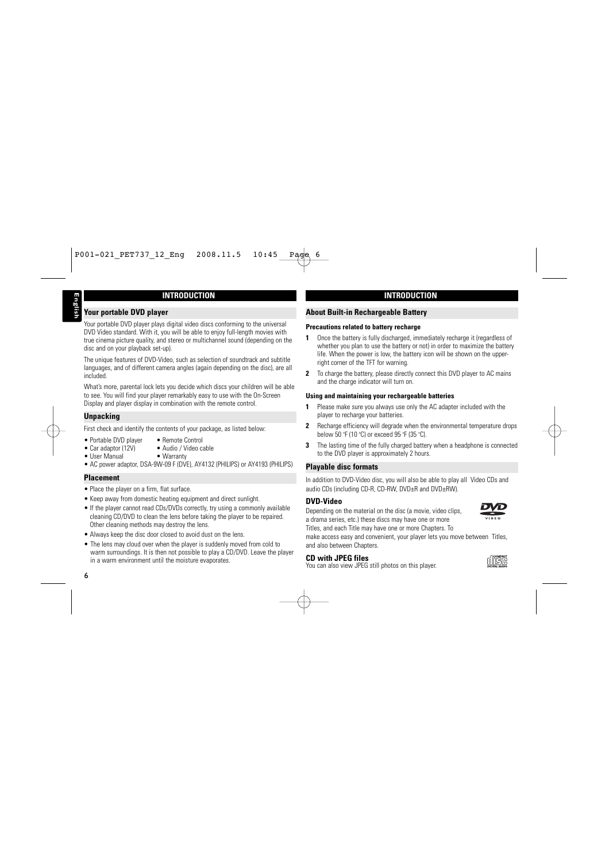#### **INTRODUCTION**

#### **Your portable DVD player**

Your portable DVD player plays digital video discs conforming to the universal DVD Video standard. With it, you will be able to enjoy full-length movies with true cinema picture quality, and stereo or multichannel sound (depending on the disc and on your playback set-up).

The unique features of DVD-Video, such as selection of soundtrack and subtitle languages, and of different camera angles (again depending on the disc), are all included.

What's more, parental lock lets you decide which discs your children will be able to see. You will find your player remarkably easy to use with the On-Screen Display and player display in combination with the remote control.

#### **Unpacking**

First check and identify the contents of your package, as listed below:

- Portable DVD player Remote Control<br>• Car adaptor (12V) Audio / Video c
- User Manual
- Audio / Video cable<br>• Warranty
- AC power adaptor, DSA-9W-09 F (DVF), AY4132 (PHILIPS) or AY4193 (PHILIPS)

#### **Placement**

- Place the player on a firm, flat surface.
- Keep away from domestic heating equipment and direct sunlight.
- If the player cannot read CDs/DVDs correctly, try using a commonly available cleaning CD/DVD to clean the lens before taking the player to be repaired. Other cleaning methods may destroy the lens.
- Always keep the disc door closed to avoid dust on the lens.
- The lens may cloud over when the player is suddenly moved from cold to warm surroundings. It is then not possible to play a CD/DVD. Leave the player in a warm environment until the moisture evaporates.

#### **About Built-in Rechargeable Battery**

#### **Precautions related to battery recharge**

- **1** Once the battery is fully discharged, immediately recharge it (regardless of whether you plan to use the battery or not) in order to maximize the battery life. When the power is low, the battery icon will be shown on the upperright corner of the TFT for warning.
- **2** To charge the battery, please directly connect this DVD player to AC mains and the charge indicator will turn on.

#### **Using and maintaining your rechargeable batteries**

- **1** Please make sure you always use only the AC adapter included with the player to recharge your batteries.
- **2** Recharge efficiency will degrade when the environmental temperature drops below 50 °F (10 °C) or exceed 95 °F (35 °C).
- **3** The lasting time of the fully charged battery when a headphone is connected to the DVD player is approximately 2 hours.

#### **Playable disc formats**

In addition to DVD-Video disc, you will also be able to play all Video CDs and audio CDs (including CD-R, CD-RW, DVD±R and DVD±RW).

#### **DVD-Video**

Depending on the material on the disc (a movie, video clips, a drama series, etc.) these discs may have one or more Titles, and each Title may have one or more Chapters. To

make access easy and convenient, your player lets you move between. Titles, and also between Chapters.

#### **CD with JPEG files**

You can also view JPEG still photos on this player.

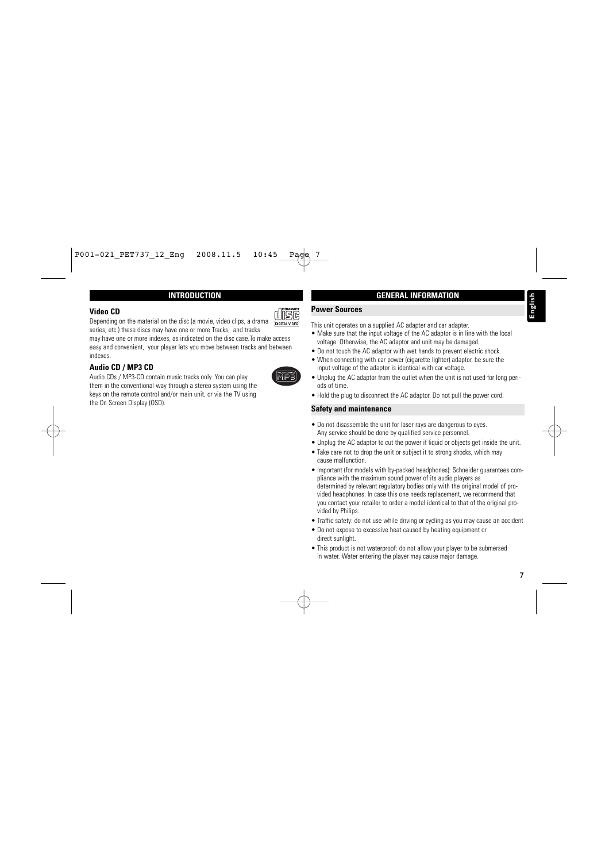#### **INTRODUCTION**

#### **Video CD**

Depending on the material on the disc (a movie, video clips, a drama series, etc.) these discs may have one or more Tracks, and tracks

may have one or more indexes, as indicated on the disc case.To make access easy and convenient, your player lets you move between tracks and between indexes.

#### **Audio CD / MP3 CD**

Audio CDs / MP3-CD contain music tracks only. You can play them in the conventional way through a stereo system using the keys on the remote control and/or main unit, or via the TV using the On Screen Display (OSD).

## **GENERAL INFORMATION**

#### **Power Sources**

This unit operates on a supplied AC adapter and car adapter.

- Make sure that the input voltage of the AC adaptor is in line with the local voltage. Otherwise, the AC adaptor and unit may be damaged.
- Do not touch the AC adaptor with wet hands to prevent electric shock.
- When connecting with car power (cigarette lighter) adaptor, be sure the input voltage of the adaptor is identical with car voltage.
- Unplug the AC adaptor from the outlet when the unit is not used for long periods of time.
- Hold the plug to disconnect the AC adaptor. Do not pull the power cord.

#### **Safety and maintenance**

- Do not disassemble the unit for laser rays are dangerous to eyes. Any service should be done by qualified service personnel.
- Unplug the AC adaptor to cut the power if liquid or objects get inside the unit.
- Take care not to drop the unit or subject it to strong shocks, which may cause malfunction.
- Important (for models with by-packed headphones): Schneider guarantees compliance with the maximum sound power of its audio players as determined by relevant regulatory bodies only with the original model of provided headphones. In case this one needs replacement, we recommend that you contact your retailer to order a model identical to that of the original provided by Philips.
- Traffic safety: do not use while driving or cycling as you may cause an accident
- Do not expose to excessive heat caused by heating equipment or direct sunlight.
- This product is not waterproof: do not allow your player to be submersed in water. Water entering the player may cause major damage.



disc **DIGITAL VIDEO**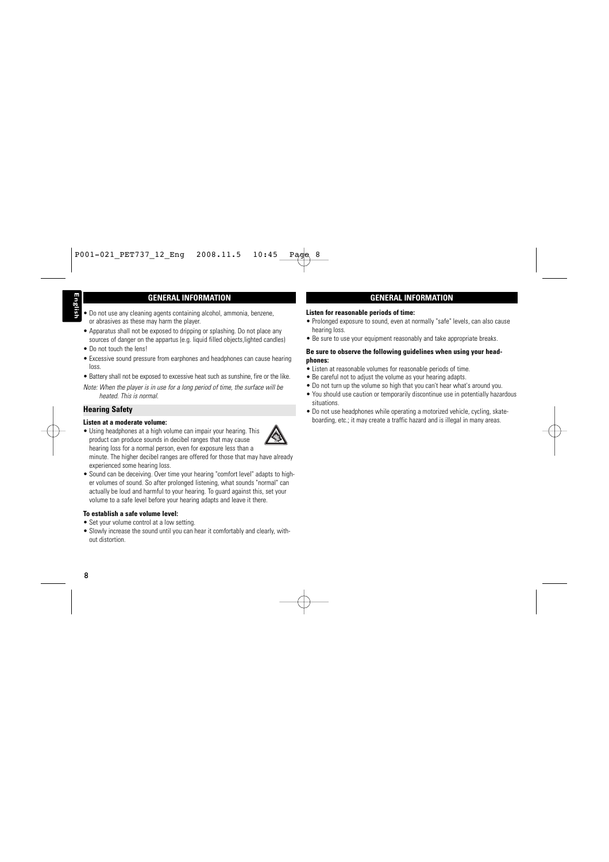#### **GENERAL INFORMATION**

- Do not use any cleaning agents containing alcohol, ammonia, benzene, or abrasives as these may harm the player.
- Apparatus shall not be exposed to dripping or splashing. Do not place any sources of danger on the appartus (e.g. liquid filled objects, lighted candles)
- Do not touch the lens!
- Excessive sound pressure from earphones and headphones can cause hearing loss.
- Battery shall not be exposed to excessive heat such as sunshine, fire or the like.
- *Note: When the player is in use for a long period of time, the surface will be heated. This is normal*.

#### **Hearing Safety**

#### **Listen at a moderate volume:**

• Using headphones at a high volume can impair your hearing. This product can produce sounds in decibel ranges that may cause hearing loss for a normal person, even for exposure less than a

minute. The higher decibel ranges are offered for those that may have already experienced some hearing loss.

• Sound can be deceiving. Over time your hearing "comfort level" adapts to higher volumes of sound. So after prolonged listening, what sounds "normal" can actually be loud and harmful to your hearing. To guard against this, set your volume to a safe level before your hearing adapts and leave it there.

#### **To establish a safe volume level:**

- Set your volume control at a low setting.
- Slowly increase the sound until you can hear it comfortably and clearly, without distortion.

#### **GENERAL INFORMATION**

#### **Listen for reasonable periods of time:**

- Prolonged exposure to sound, even at normally "safe" levels, can also cause hearing loss.
- Be sure to use your equipment reasonably and take appropriate breaks.

#### **Be sure to observe the following guidelines when using your headphones:**

- Listen at reasonable volumes for reasonable periods of time.
- Be careful not to adjust the volume as your hearing adapts.
- Do not turn up the volume so high that you can't hear what's around you.
- You should use caution or temporarily discontinue use in potentially hazardous situations.
- Do not use headphones while operating a motorized vehicle, cycling, skateboarding, etc.; it may create a traffic hazard and is illegal in many areas.

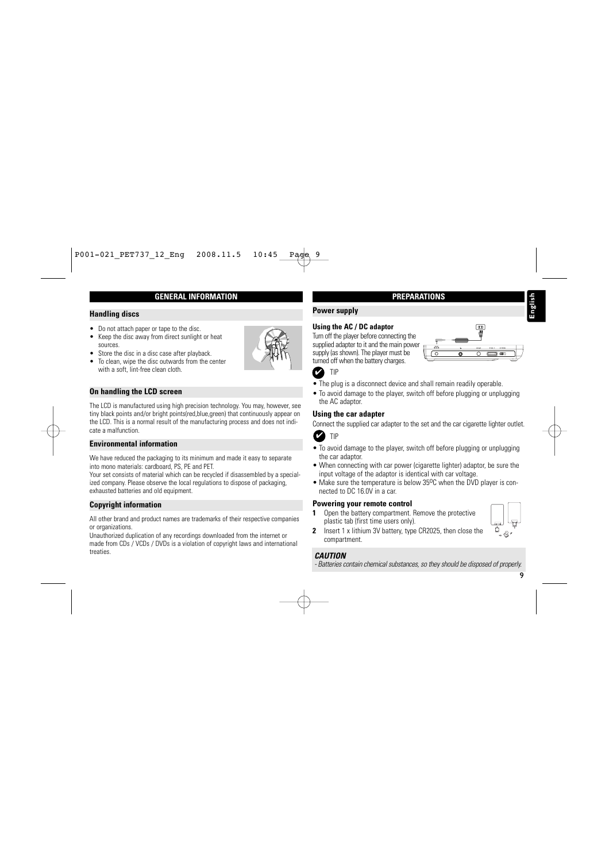#### **GENERAL INFORMATION**

#### **Handling discs**

- Do not attach paper or tape to the disc.
- Keep the disc away from direct sunlight or heat sources.
- Store the disc in a disc case after playback.
- To clean, wipe the disc outwards from the center with a soft, lint-free clean cloth.

#### **On handling the LCD screen**

The LCD is manufactured using high precision technology. You may, however, see tiny black points and/or bright points(red,blue,green) that continuously appear on the LCD. This is a normal result of the manufacturing process and does not indicate a malfunction.

#### **Environmental information**

We have reduced the packaging to its minimum and made it easy to separate into mono materials: cardboard, PS, PE and PET.

Your set consists of material which can be recycled if disassembled by a specialized company. Please observe the local regulations to dispose of packaging, exhausted batteries and old equipment.

#### **Copyright information**

All other brand and product names are trademarks of their respective companies or organizations.

Unauthorized duplication of any recordings downloaded from the internet or made from CDs / VCDs / DVDs is a violation of copyright laws and international treaties.

#### **PREPARATIONS**

#### **Power supply**

#### **Using the AC / DC adaptor**

Turn off the player before connecting the supplied adapter to it and the main power supply (as shown). The player must be turned off when the battery charges.



TIP

- The plug is a disconnect device and shall remain readily operable.
- To avoid damage to the player, switch off before plugging or unplugging the AC adaptor.

#### **Using the car adapter**

Connect the supplied car adapter to the set and the car cigarette lighter outlet.

TIP

- To avoid damage to the player, switch off before plugging or unplugging the car adaptor.
- When connecting with car power (cigarette lighter) adaptor, be sure the input voltage of the adaptor is identical with car voltage. **FIP**<br> **-** The plug is a disconnect device and shall remain readily operable.<br> **-** To avoid damage to the player, switch off before plugging or unplugging<br> **Jusing the car adapter**<br> **Connect** the supplied car adapter to th
- Make sure the temperature is below 35<sup>o</sup>C when the DVD player is connected to DC 16.0V in a car.

#### **Powering your remote control**

**1** Open the battery compartment. Remove the protective plastic tab (first time users only).



**2** Insert 1 x lithium 3V battery, type CR2025, then close the compartment.

*CAUTION*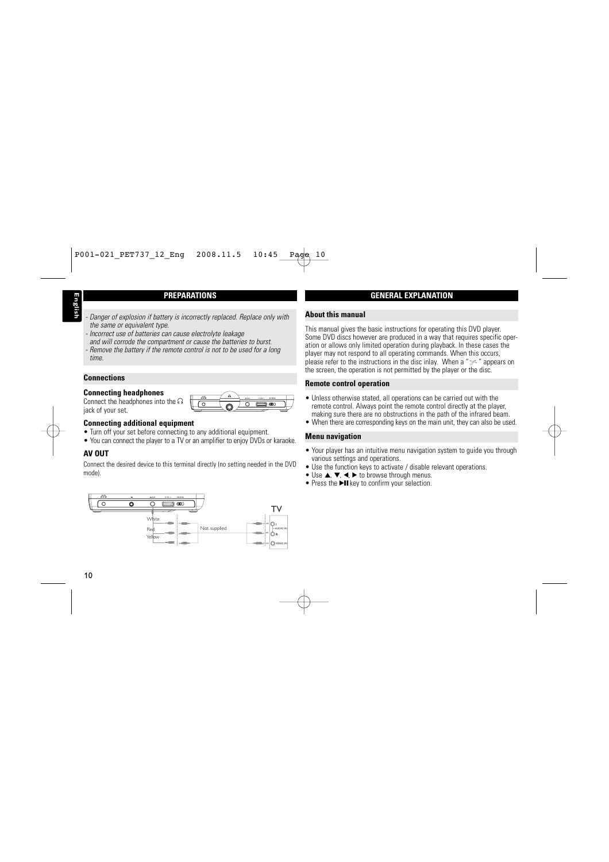#### **PREPARATIONS**

- 
- *- Danger of explosion if battery is incorrectly replaced. Replace only with*
- *the same or equivalent type. - Incorrect use of batteries can cause electrolyte leakage and will corrode the compartment or cause the batteries to burst.*
- *- Remove the battery if the remote control is not to be used for a long time.*

#### **Connections**

#### **Connecting headphones**

Connect the headphones into the  $\Omega$ jack of your set.



#### **Connecting additional equipment**

- Turn off your set before connecting to any additional equipment.
- You can connect the player to a TV or an amplifier to enjoy DVDs or karaoke.

### **AV OUT**

Connect the desired device to this terminal directly (no setting needed in the DVD mode).



#### **GENERAL EXPLANATION**

#### **About this manual**

This manual gives the basic instructions for operating this DVD player. Some DVD discs however are produced in a way that requires specific operation or allows only limited operation during playback. In these cases the player may not respond to all operating commands. When this occurs, please refer to the instructions in the disc inlay. When a " $\gg$ " appears on the screen, the operation is not permitted by the player or the disc.

#### **Remote control operation**

- Unless otherwise stated, all operations can be carried out with the remote control. Always point the remote control directly at the player, making sure there are no obstructions in the path of the infrared beam.
- When there are corresponding keys on the main unit, they can also be used.

#### **Menu navigation**

- Your player has an intuitive menu navigation system to quide you through various settings and operations.
- Use the function keys to activate / disable relevant operations.
- Use  $\blacktriangle$ ,  $\nabla$ ,  $\blacktriangleleft$ ,  $\blacktriangleright$  to browse through menus.
- Press the  $\blacktriangleright$ II key to confirm your selection.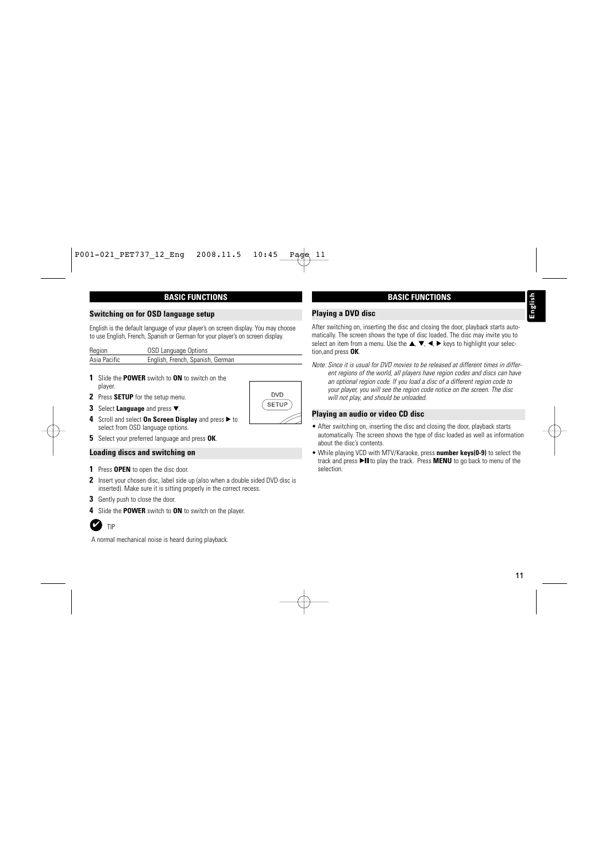#### **BASIC FUNCTIONS**

#### **Switching on for OSD language setup**

English is the default language of your player's on screen display. You may choose to use English, French, Spanish or German for your player's on screen display.

| Region       | OSD Language Options             |
|--------------|----------------------------------|
| Asia Pacific | English, French, Spanish, German |

- **1** Slide the **POWER** switch to **ON** to switch on the player.
- **2** Press **SETUP** for the setup menu.
- **3** Select **Language** and press ▼.
- **4** Scroll and select **On Screen Display** and press ▶ to select from OSD language options.
- **5** Select your preferred language and press **OK**.

#### **Loading discs and switching on**

- **1** Press **OPEN** to open the disc door.
- **2** Insert your chosen disc, label side up (also when a double sided DVD disc is inserted). Make sure it is sitting properly in the correct recess.
- **3** Gently push to close the door.
- **4** Slide the **POWER** switch to **ON** to switch on the player.



A normal mechanical noise is heard during playback.

#### **BASIC FUNCTIONS**

#### **Playing a DVD disc**

After switching on, inserting the disc and closing the door, playback starts automatically. The screen shows the type of disc loaded. The disc may invite you to select an item from a menu. Use the  $\blacktriangle, \blacktriangledown, \blacktriangle, \blacktriangleright$  keys to highlight your selection,and press **OK**.

*Note: Since it is usual for DVD movies to be released at different times in different regions of the world, all players have region codes and discs can have an optional region code. If you load a disc of a different region code to your player, you will see the region code notice on the screen. The disc will not play, and should be unloaded.*

#### **Playing an audio or video CD disc**

- After switching on, inserting the disc and closing the door, playback starts automatically. The screen shows the type of disc loaded as well as information about the disc's contents.
- While playing VCD with MTV/Karaoke, press **number keys(0-9)** to select the track and press **>II** to play the track. Press **MENU** to go back to menu of the selection.

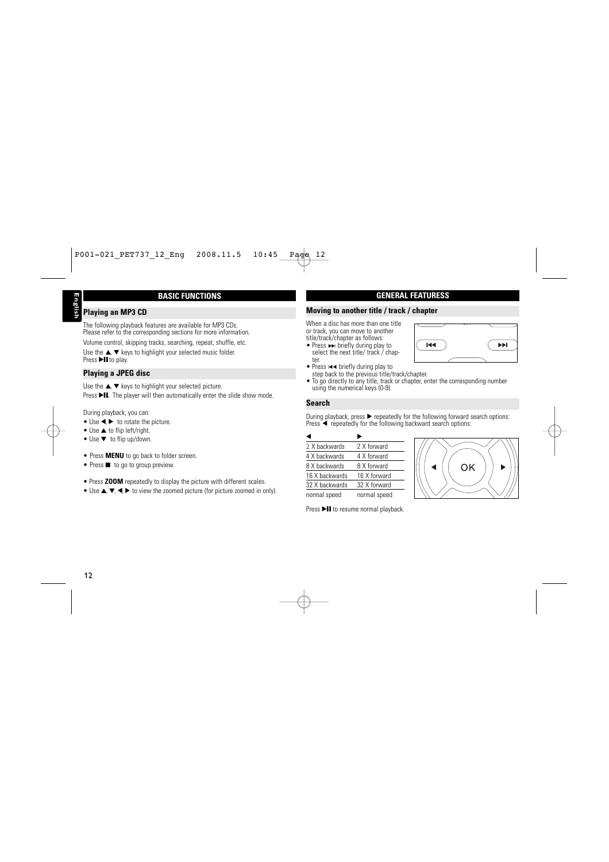#### **BASIC FUNCTIONS**

#### **Playing an MP3 CD**

The following playback features are available for MP3 CDs. Please refer to the corresponding sections for more information.

Volume control, skipping tracks, searching, repeat, shuffle, etc.

Use the  $\triangle$ .  $\blacktriangledown$  keys to highlight your selected music folder. Press DII to play.

#### **Playing a JPEG disc**

Use the  $\blacktriangle, \blacktriangledown$  keys to highlight your selected picture. Press **>IL** The player will then automatically enter the slide show mode.

During playback, you can:

- Use  $\blacktriangleleft$   $\blacktriangleright$  to rotate the picture.
- $\bullet$  Use  $\blacktriangle$  to flip left/right.
- $\bullet$  Use  $\blacktriangledown$  to flip up/down.
- Press **MENU** to go back to folder screen.
- Press  $\blacksquare$  to go to group preview.
- Press **ZOOM** repeatedly to display the picture with different scales.
- Use  $\blacktriangle, \blacktriangledown, \blacktriangle, \blacktriangleright$  to view the zoomed picture (for picture zoomed in only).

#### **GENERAL FEATURESS**

#### **Moving to another title / track / chapter**

When a disc has more than one title or track, you can move to another title/track/chapter as follows:

• Press  $\rightarrow$  briefly during play to select the next title/ track / chapter.



- Press  $\blacktriangleleft$  briefly during play to step back to the previous title/track/chapter.
- To go directly to any title, track or chapter, enter the corresponding number using the numerical keys (0-9).

#### **Search**

During playback, press  $\blacktriangleright$  repeatedly for the following forward search options:  $Press \blacktriangleleft$  repeatedly for the following backward search options:

| 2 X hackwards  | 2 X forward  |
|----------------|--------------|
| 4 X backwards  | 4 X forward  |
| 8 X backwards  | 8 X forward  |
| 16 X backwards | 16 X forward |
| 32 X hackwards | 32 X forward |
| normal speed   | normal speed |

OK

Press >II to resume normal playback.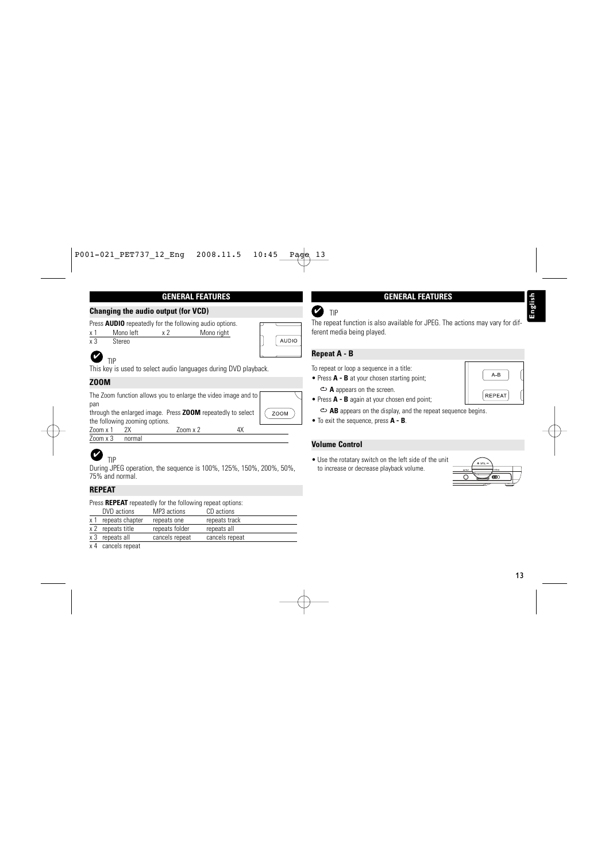#### **GENERAL FEATURES**

#### **Changing the audio output (for VCD)**

Press **AUDIO** repeatedly for the following audio options.

| $\mathbf{v}$ | Mono left | Mono right |
|--------------|-----------|------------|
| $\vee$ 3     | Steren    |            |



# ✔

TIP

This key is used to select audio languages during DVD playback.

#### **ZOOM**

The Zoom function allows you to enlarge the video image and to pan

through the enlarged image. Press **ZOOM** repeatedly to select the following zooming options.

Zoom x 1 2X Zoom x 2 4X Zoom x 3 normal

#### TIP ✔

During JPEG operation, the sequence is 100%, 125%, 150%, 200%, 50%, 75% and normal.

### **REPEAT**

Press **REPEAT** repeatedly for the following repeat options:

|    | DVD actions       | MP3 actions    | CD actions     |
|----|-------------------|----------------|----------------|
|    | repeats chapter   | repeats one    | repeats track  |
|    | x 2 repeats title | repeats folder | repeats all    |
| х3 | repeats all       | cancels repeat | cancels repeat |
|    |                   |                |                |

x 4 cancels repeat

#### **GENERAL FEATURES**

#### TIP ✔

The repeat function is also available for JPEG. The actions may vary for different media being played.

#### **Repeat A - B**

To repeat or loop a sequence in a title:

- Press **A - B** at your chosen starting point; **A** appears on the screen.
- Press **A - B** again at your chosen end point;

**AB** appears on the display, and the repeat sequence begins.

• To exit the sequence, press **A - B**.

#### **Volume Control**

• Use the rotatary switch on the left side of the unit to increase or decrease playback volume.



**REPEAT** 

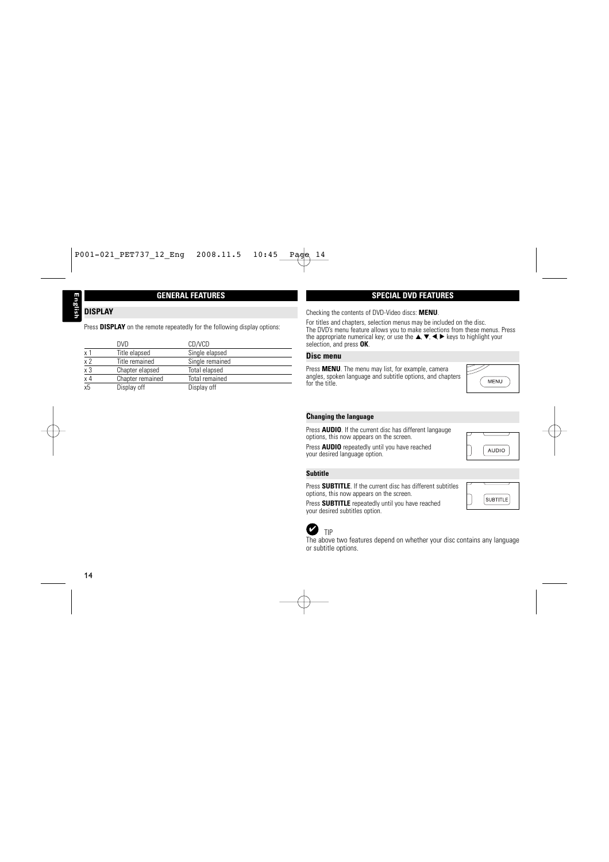#### **GENERAL FEATURES**

## **DISPLAY**

Press **DISPLAY** on the remote repeatedly for the following display options:

|                | <b>DVD</b>       | CD/VCD                |
|----------------|------------------|-----------------------|
| x <sub>1</sub> | Title elapsed    | Single elapsed        |
| x <sub>2</sub> | Title remained   | Single remained       |
| $x_3$<br>$x_4$ | Chapter elapsed  | Total elapsed         |
|                | Chapter remained | <b>Total remained</b> |
| x <sub>5</sub> | Display off      | Display off           |

#### **SPECIAL DVD FEATURES**

Checking the contents of DVD-Video discs: **MENU** .

For titles and chapters, selection menus may be included on the disc. The DVD's menu feature allows you to make selections from these menus. Press the appropriate numerical key; or use the ▲, ▼, ◀, ▶ keys to highlight your , , , selection, and press **OK** .

#### **Disc menu**

Press **MENU**. The menu may list, for example, camera angles, spoken language and subtitle options, and chapters for the title.



Press **AUDIO**. If the current disc has different langauge options, this now appears on the screen.

Press **AUDIO** repeatedly until you have reached your desired language option.

#### **Subtitle**

Press **SUBTITLE**. If the current disc has different subtitles options, this now appears on the screen.



**AUDIO** 

MENU

Press **SUBTITLE** repeatedly until you have reached your desired subtitles option.





 $\bullet$  TIP<br>The above two features depend on whether your disc contains any language<br>or subtitle options.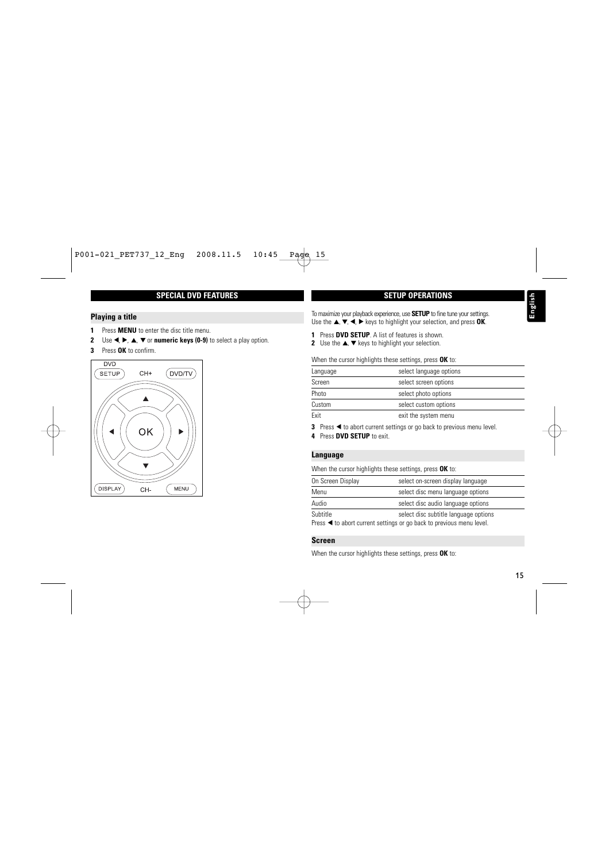#### **SPECIAL DVD FEATURES**

#### **Playing a title**

- **1** Press **MENU** to enter the disc title menu.
- **2** Use **◀, ▶, ▲, ▼** or **numeric keys (0-9)** to select a play option.
- **3** Press **OK** to confirm.



**SETUP OPERATIONS**

To maximize your playback experience, use **SETUP** to fine tune your settings. Use the  $\blacktriangle$ ,  $\nabla$ ,  $\blacktriangleleft$ ,  $\blacktriangleright$  keys to highlight your selection, and press **OK**.

**1** Press **DVD SETUP**. A list of features is shown.

**2** Use the  $\blacktriangle$ ,  $\nabla$  keys to highlight your selection.

When the cursor highlights these settings, press **OK** to:

| select language options |
|-------------------------|
| select screen options   |
| select photo options    |
| select custom options   |
| exit the system menu    |
|                         |

**3** Press < to abort current settings or go back to previous menu level.

**4** Press **DVD SETUP** to exit.

#### **Language**

When the cursor highlights these settings, press **OK** to:

| On Screen Display | select on-screen display language                                                                             |
|-------------------|---------------------------------------------------------------------------------------------------------------|
| Menu              | select disc menu language options                                                                             |
| Audio             | select disc audio language options                                                                            |
| Subtitle          | select disc subtitle language options<br>Press ◀ to abort current settings or go back to previous menu level. |

#### **Screen**

When the cursor highlights these settings, press **OK** to: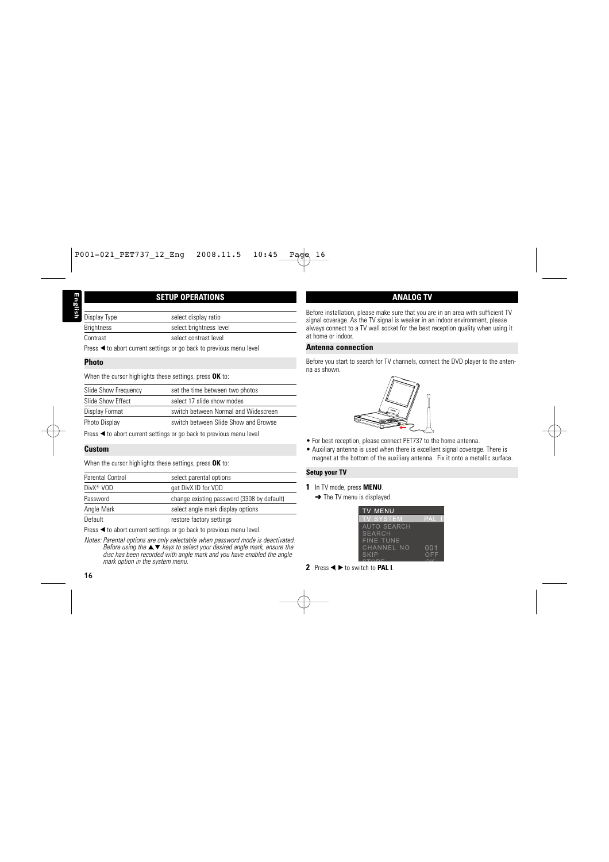#### **SETUP OPERATIONS**

| Display Type      | select display ratio                                                |
|-------------------|---------------------------------------------------------------------|
| <b>Brightness</b> | select brightness level                                             |
| Contrast          | select contrast level                                               |
|                   | Press ◀ to abort current settings or go back to previous menu level |

**Photo**

When the cursor highlights these settings, press **OK** to:

| Slide Show Frequency | set the time between two photos      |
|----------------------|--------------------------------------|
| Slide Show Effect    | select 17 slide show modes           |
| Display Format       | switch between Normal and Widescreen |
| Photo Display        | switch between Slide Show and Browse |

Press  $\triangleleft$  to abort current settings or go back to previous menu level

#### **Custom**

When the cursor highlights these settings, press **OK** to:

| Parental Control      | select parental options                    |
|-----------------------|--------------------------------------------|
| DivX <sup>®</sup> VOD | get DivX ID for VOD                        |
| Password              | change existing password (3308 by default) |
| Angle Mark            | select angle mark display options          |
| Default               | restore factory settings                   |

Press  $\blacktriangleleft$  to abort current settings or go back to previous menu level.

*Notes: Parental options are only selectable when password mode is deactivated. Before using the*  $\triangle \blacktriangledown$  *keys to select your desired angle mark, ensure the disc has been recorded with angle mark and you have enabled the angle mark option in the system menu.*

#### **ANALOG TV**

Before installation, please make sure that you are in an area with sufficient TV signal coverage. As the TV signal is weaker in an indoor environment, please always connect to a TV wall socket for the best reception quality when using it at home or indoor.

#### **Antenna connection**

Before you start to search for TV channels, connect the DVD player to the antenna as shown.



- For best reception, please connect PET737 to the home antenna.
- Auxiliary antenna is used when there is excellent signal coverage. There is magnet at the bottom of the auxiliary antenna. Fix it onto a metallic surface.

#### **Setup your TV**

- **1** In TV mode, press **MENU**.
	- $\rightarrow$  The TV menu is displayed.

| <b>TV MENU</b>     |     |
|--------------------|-----|
| <b>TV SYSTEM</b>   | PAI |
| <b>AUTO SEARCH</b> |     |
| SEARCH             |     |
| <b>FINE TUNE</b>   |     |
| CHANNEL NO         | 001 |
| SKIP               | OFF |
|                    |     |

**2** Press **4** ▶ to switch to **PAL I**.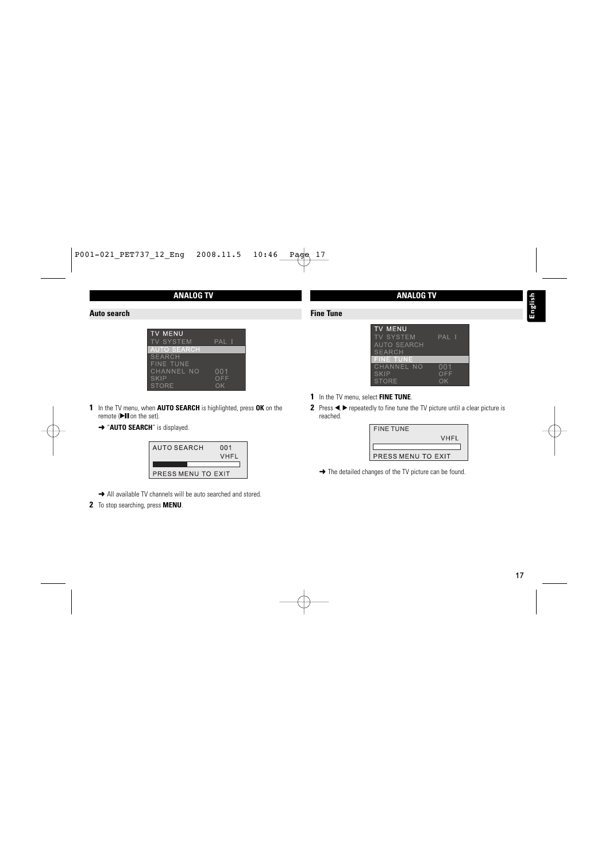#### **ANALOG TV**

#### **Auto search**

| <b>TV MENU</b>     |     |
|--------------------|-----|
| <b>TV SYSTEM</b>   | PAI |
| <b>AUTO SEARCH</b> |     |
| <b>SEARCH</b>      |     |
| <b>FINE TUNE</b>   |     |
| CHANNEL NO         | 001 |
| SKIP               | OFF |
| <b>STORE</b>       |     |

- **1** In the TV menu, when **AUTO SEARCH** is highlighted, press **OK** on the remote  $(\blacktriangleright \blacksquare$  on the set).
	- **→ "AUTO SEARCH"** is displayed.



- → All available TV channels will be auto searched and stored.
- **2** To stop searching, press **MENU**.

#### **ANALOG TV**

| Fine Tune |
|-----------|
|           |
|           |

| <b>TV MENU</b>     |       |
|--------------------|-------|
| <b>TV SYSTEM</b>   | PAL I |
| <b>AUTO SEARCH</b> |       |
| <b>SEARCH</b>      |       |
| <b>FINE TUNE</b>   |       |
| CHANNEL NO         | 001   |
| SKIP               | OFF   |
| <b>STORF</b>       | ∩K    |

- **1** In the TV menu, select **FINE TUNE**.
- **2** Press  $\blacktriangleleft$ ,  $\blacktriangleright$  repeatedly to fine tune the TV picture until a clear picture is reached.

| <b>FINE TUNE</b>   |             |
|--------------------|-------------|
|                    | <b>VHFL</b> |
|                    |             |
| PRESS MENU TO EXIT |             |

→ The detailed changes of the TV picture can be found.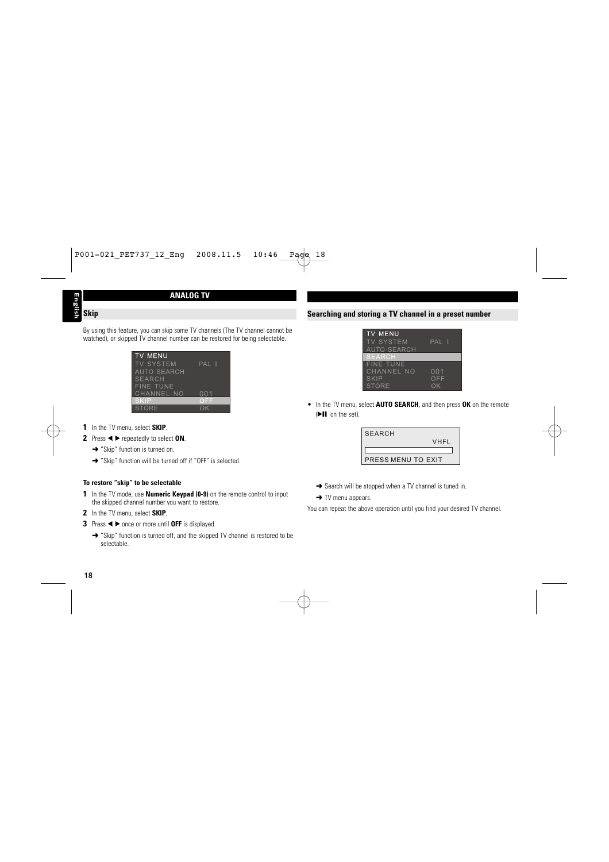# **English Skip**

#### **ANALOG TV**

By using this feature, you can skip some TV channels (The TV channel cannot be watched), or skipped TV channel number can be restored for being selectable.

| <b>TV MENU</b>     |       |
|--------------------|-------|
| <b>TV SYSTEM</b>   | PAL I |
| <b>AUTO SEARCH</b> |       |
| <b>SEARCH</b>      |       |
| <b>FINE TUNE</b>   |       |
| CHANNEL NO         | 001   |
| SKIP               | OEE   |
| <b>STORF</b>       |       |

- **1** In the TV menu, select **SKIP**.
- **2** Press ◀ ► repeatedly to select **ON**.
	- **→** "Skip" function is turned on.
	- ➜ "Skip" function will be turned off if "OFF" is selected.

#### **To restore "skip" to be selectable**

- **1** In the TV mode, use **Numeric Keypad (0-9)** on the remote control to input the skipped channel number you want to restore.
- **2** In the TV menu, select **SKIP**,
- **3** Press ◀ ► once or more until OFF is displayed.
	- ➜ "Skip" function is turned off, and the skipped TV channel is restored to be selectable.

#### **Searching and storing a TV channel in a preset number**

| <b>TV MENU</b>     |       |
|--------------------|-------|
| <b>TV SYSTEM</b>   | PAL I |
| <b>AUTO SEARCH</b> |       |
| <b>SEARCH</b>      |       |
| <b>FINE TUNE</b>   |       |
| CHANNEL NO         | 001   |
| SKIP               | OFF   |
| <b>STORE</b>       | ∩K    |

• In the TV menu, select **AUTO SEARCH**, and then press **OK** on the remote (D-II on the set).

| <b>SEARCH</b>      |      |
|--------------------|------|
|                    | VHFL |
|                    |      |
| PRESS MENU TO EXIT |      |

- **→** Search will be stopped when a TV channel is tuned in.
- **→ TV menu appears.**

You can repeat the above operation until you find your desired TV channel.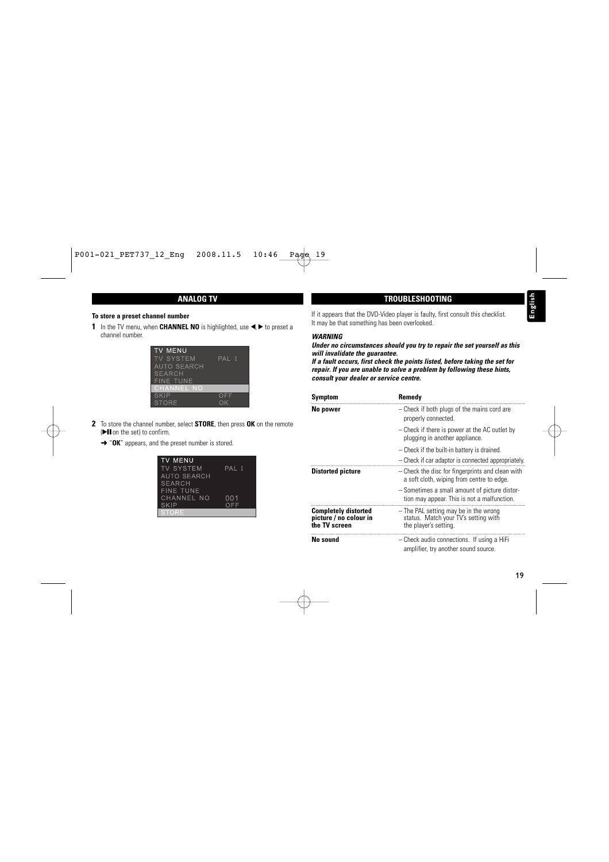#### **ANALOG TV**

#### **To store a preset channel number**

**1** In the TV menu, when **CHANNEL NO** is highlighted, use <, > to preset a channel number.



- **2** To store the channel number, select **STORE**, then press **OK** on the remote ( $\blacktriangleright$ II on the set) to confirm.
	- **→ "OK"** appears, and the preset number is stored.

| <b>TV MENU</b>     |       |
|--------------------|-------|
| <b>TV SYSTEM</b>   | PAL I |
| <b>AUTO SEARCH</b> |       |
| <b>SEARCH</b>      |       |
| <b>FINE TUNE</b>   |       |
| CHANNEL NO         | 001   |
| <b>SKIP</b>        | OFF   |
| <b>STORF</b>       |       |

If it appears that the DVD-Video player is faulty, first consult this checklist. It may be that something has been overlooked.

**TROUBLESHOOTING**

#### *WARNING*

*Under no circumstances should you try to repair the set yourself as this will invalidate the guarantee.*

*If a fault occurs, first check the points listed, before taking the set for repair. If you are unable to solve a problem by following these hints, consult your dealer or service centre.*

| Symptom                                                                | Remedy                                                                                                 |
|------------------------------------------------------------------------|--------------------------------------------------------------------------------------------------------|
| No power                                                               | - Check if both plugs of the mains cord are<br>properly connected.                                     |
|                                                                        | - Check if there is power at the AC outlet by<br>plugging in another appliance.                        |
|                                                                        | - Check if the built-in battery is drained.                                                            |
|                                                                        | - Check if car adaptor is connected appropriately.                                                     |
| <b>Distorted picture</b>                                               | - Check the disc for fingerprints and clean with<br>a soft cloth, wiping from centre to edge.          |
|                                                                        | - Sometimes a small amount of picture distor-<br>tion may appear. This is not a malfunction.           |
| <b>Completely distorted</b><br>picture / no colour in<br>the TV screen | - The PAL setting may be in the wrong<br>status. Match your TV's setting with<br>the player's setting. |
| No sound                                                               | - Check audio connections. If using a HiFi<br>amplifier, try another sound source.                     |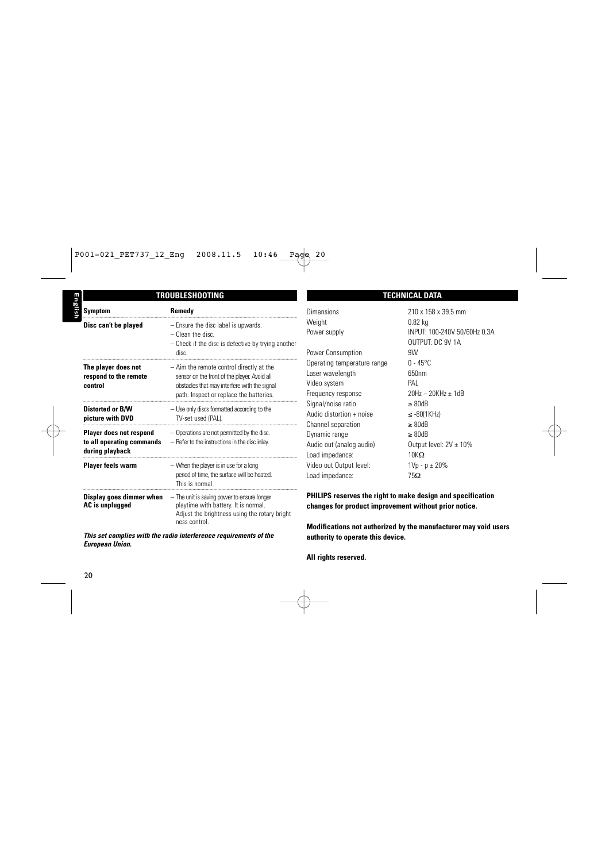| TROUBLESHOOTING                                                                |                                                                                                                                                                                     |
|--------------------------------------------------------------------------------|-------------------------------------------------------------------------------------------------------------------------------------------------------------------------------------|
| Symptom                                                                        | Remedy                                                                                                                                                                              |
| Disc can't be played                                                           | - Ensure the disc label is upwards.<br>$-$ Clean the disc.<br>- Check if the disc is defective by trying another<br>disc.                                                           |
| The player does not<br>respond to the remote<br>control                        | - Aim the remote control directly at the<br>sensor on the front of the player. Avoid all<br>obstacles that may interfere with the signal<br>path. Inspect or replace the batteries. |
| <b>Distorted or B/W</b><br>picture with DVD                                    | - Use only discs formatted according to the<br>TV-set used (PAL).                                                                                                                   |
| <b>Player does not respond</b><br>to all operating commands<br>during playback | - Operations are not permitted by the disc.<br>- Refer to the instructions in the disc inlay.                                                                                       |
| Player feels warm                                                              | - When the player is in use for a long<br>period of time, the surface will be heated.<br>This is normal.                                                                            |
| Display goes dimmer when<br>AC is unplugged                                    | - The unit is saving power to ensure longer<br>playtime with battery. It is normal.<br>Adjust the brightness using the rotary bright<br>ness control.                               |

*This set complies with the radio interference requirements of the European Union.*

#### **TECHNICAL DATA**

| <b>Dimensions</b>           | 210 x 158 x 39.5 mm          |
|-----------------------------|------------------------------|
| Weight                      | $0.82$ kg                    |
| Power supply                | INPUT: 100-240V 50/60Hz 0.3A |
|                             | OUTPUT: DC 9V 1A             |
| Power Consumption           | 9W                           |
| Operating temperature range | $0 - 45^{\circ}$ C           |
| Laser wavelength            | 650nm                        |
| Video system                | PAL                          |
| Frequency response          | 20Hz ~ 20KHz ± 1dB           |
| Signal/noise ratio          | $\geq 80$ dB                 |
| Audio distortion + noise    | $\leq$ -80(1KHz)             |
| Channel separation          | $\geq 80$ dB                 |
| Dynamic range               | $\geq 80$ dB                 |
| Audio out (analog audio)    | Output level: $2V \pm 10\%$  |
| Load impedance:             | $10K\Omega$                  |
| Video out Output level:     | $1Vp - p \pm 20%$            |
| Load impedance:             | 75Ω                          |
|                             |                              |

**PHILIPS reserves the right to make design and specification changes for product improvement without prior notice.**

**Modifications not authorized by the manufacturer may void users authority to operate this device.**

**English**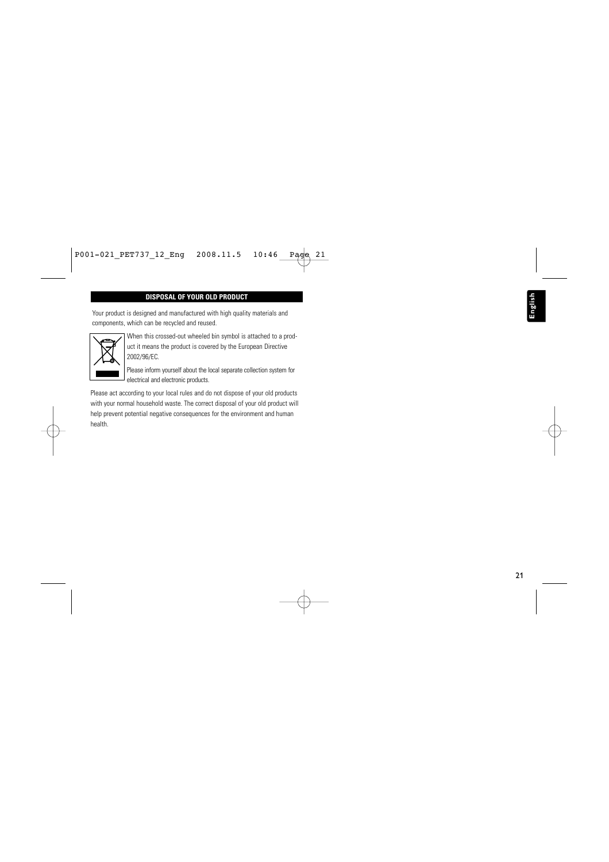#### **DISPOSAL OF YOUR OLD PRODUCT**

Your product is designed and manufactured with high quality materials and components, which can be recycled and reused.



When this crossed-out wheeled bin symbol is attached to a product it means the product is covered by the European Directive 2002/96/EC.

Please inform yourself about the local separate collection system for electrical and electronic products.

Please act according to your local rules and do not dispose of your old products with your normal household waste. The correct disposal of your old product will help prevent potential negative consequences for the environment and human health.